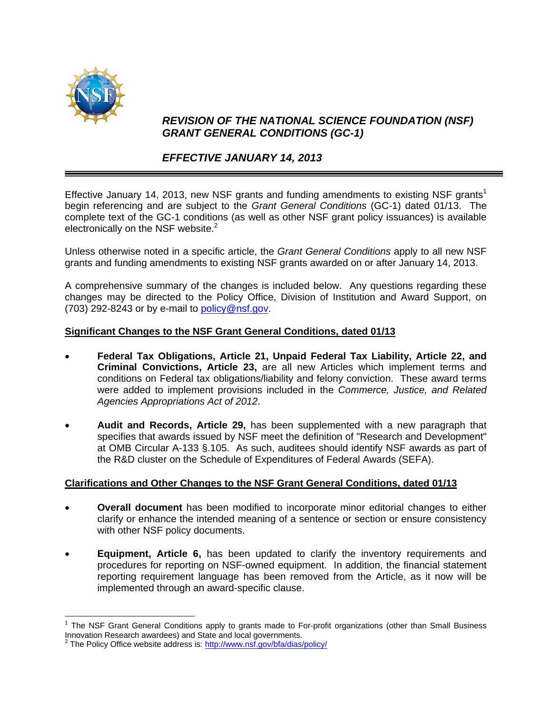

 $\overline{a}$ 

## *REVISION OF THE NATIONAL SCIENCE FOUNDATION (NSF) GRANT GENERAL CONDITIONS (GC-1)*

## *EFFECTIVE JANUARY 14, 2013*

Effective January 14, 2013, new NSF grants and funding amendments to existing NSF grants<sup>1</sup> begin referencing and are subject to the *Grant General Conditions* (GC-1) dated 01/13. The complete text of the GC-1 conditions (as well as other NSF grant policy issuances) is available electronically on the NSF website. $2$ 

Unless otherwise noted in a specific article, the *Grant General Conditions* apply to all new NSF grants and funding amendments to existing NSF grants awarded on or after January 14, 2013.

A comprehensive summary of the changes is included below. Any questions regarding these changes may be directed to the Policy Office, Division of Institution and Award Support, on (703) 292-8243 or by e-mail to policy@nsf.gov.

## **Significant Changes to the NSF Grant General Conditions, dated 01/13**

- **Federal Tax Obligations, Article 21, Unpaid Federal Tax Liability, Article 22, and Criminal Convictions, Article 23,** are all new Articles which implement terms and conditions on Federal tax obligations/liability and felony conviction. These award terms were added to implement provisions included in the *Commerce, Justice, and Related Agencies Appropriations Act of 2012*.
- **Audit and Records, Article 29,** has been supplemented with a new paragraph that specifies that awards issued by NSF meet the definition of "Research and Development" at OMB Circular A-133 §.105. As such, auditees should identify NSF awards as part of the R&D cluster on the Schedule of Expenditures of Federal Awards (SEFA).

## **Clarifications and Other Changes to the NSF Grant General Conditions, dated 01/13**

- **Overall document** has been modified to incorporate minor editorial changes to either clarify or enhance the intended meaning of a sentence or section or ensure consistency with other NSF policy documents.
- **Equipment, Article 6,** has been updated to clarify the inventory requirements and procedures for reporting on NSF-owned equipment. In addition, the financial statement reporting requirement language has been removed from the Article, as it now will be implemented through an award-specific clause.

<sup>&</sup>lt;sup>1</sup> The NSF Grant General Conditions apply to grants made to For-profit organizations (other than Small Business Innovation Research awardees) and State and local governments.

The Policy Office website address is: http://www.nsf.gov/bfa/dias/policy/